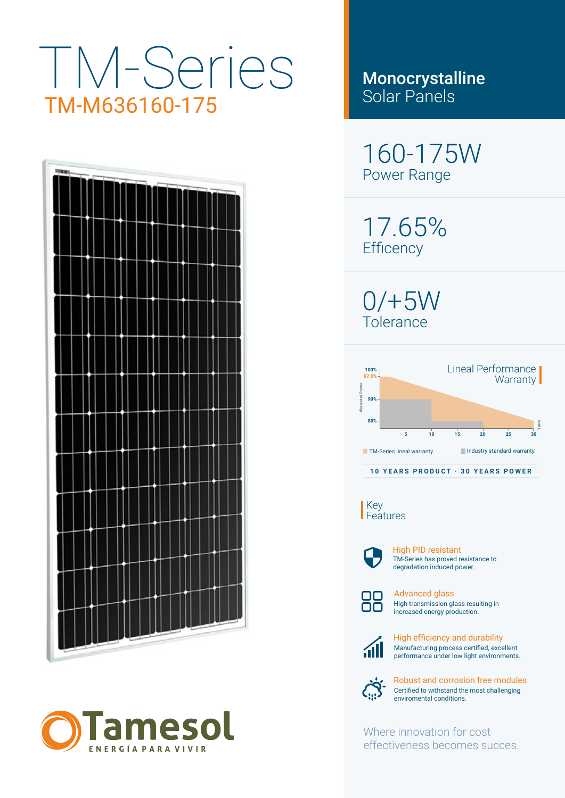# TM-Series TM-M636160-175





Monocrystalline Solar Panels

160-175W Power Range

17.65% **Efficency** 

0/+5W Tolerance



Key Features



TM-Series has proved resistance to degradation induced power. High PID resistant



High transmission glass resulting in increased energy production. Advanced glass



Manufacturing process certified, excellent performance under low light environments. High efficiency and durability



Certified to withstand the most challenging enviromental conditions. Robust and corrosion free modules

Where innovation for cost effectiveness becomes succes.